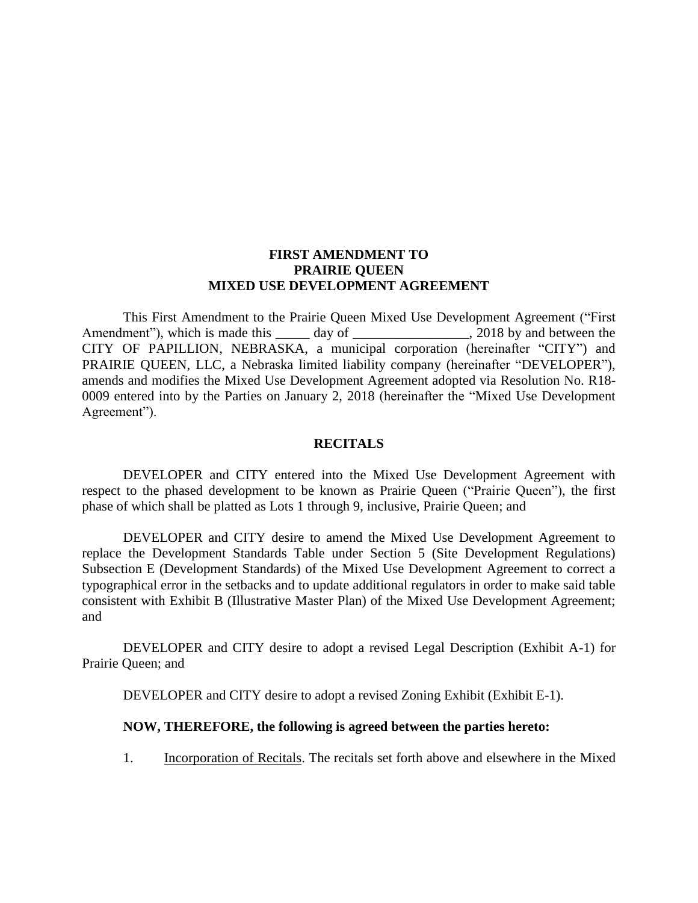#### **FIRST AMENDMENT TO PRAIRIE QUEEN MIXED USE DEVELOPMENT AGREEMENT**

This First Amendment to the Prairie Queen Mixed Use Development Agreement ("First Amendment"), which is made this \_\_\_\_\_ day of \_\_\_\_\_\_\_\_\_\_\_\_\_\_\_\_\_, 2018 by and between the CITY OF PAPILLION, NEBRASKA, a municipal corporation (hereinafter "CITY") and PRAIRIE QUEEN, LLC, a Nebraska limited liability company (hereinafter "DEVELOPER"), amends and modifies the Mixed Use Development Agreement adopted via Resolution No. R18- 0009 entered into by the Parties on January 2, 2018 (hereinafter the "Mixed Use Development Agreement").

#### **RECITALS**

DEVELOPER and CITY entered into the Mixed Use Development Agreement with respect to the phased development to be known as Prairie Queen ("Prairie Queen"), the first phase of which shall be platted as Lots 1 through 9, inclusive, Prairie Queen; and

DEVELOPER and CITY desire to amend the Mixed Use Development Agreement to replace the Development Standards Table under Section 5 (Site Development Regulations) Subsection E (Development Standards) of the Mixed Use Development Agreement to correct a typographical error in the setbacks and to update additional regulators in order to make said table consistent with Exhibit B (Illustrative Master Plan) of the Mixed Use Development Agreement; and

DEVELOPER and CITY desire to adopt a revised Legal Description (Exhibit A-1) for Prairie Queen; and

DEVELOPER and CITY desire to adopt a revised Zoning Exhibit (Exhibit E-1).

#### **NOW, THEREFORE, the following is agreed between the parties hereto:**

1. Incorporation of Recitals. The recitals set forth above and elsewhere in the Mixed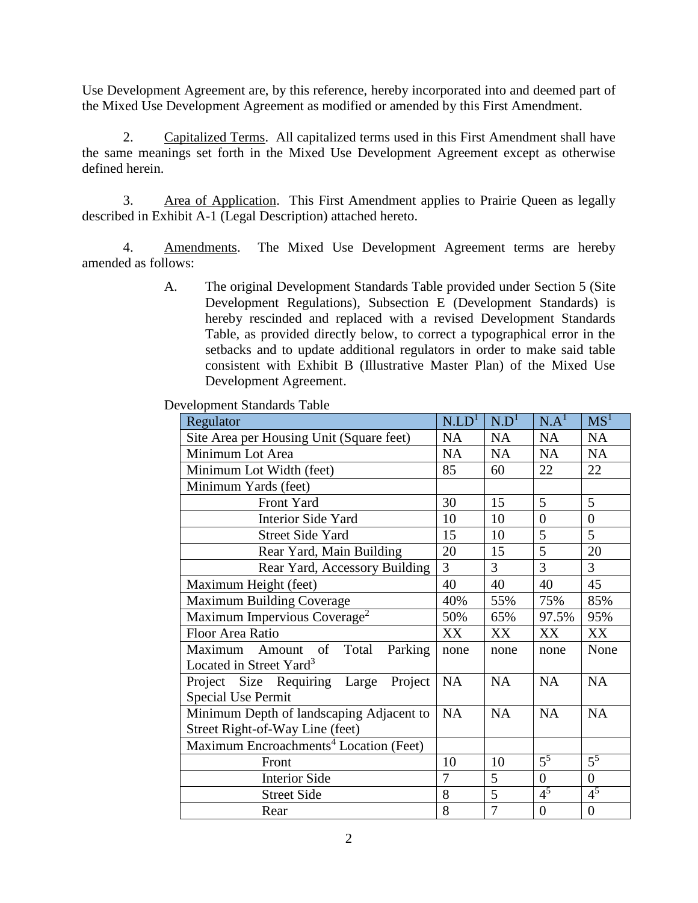Use Development Agreement are, by this reference, hereby incorporated into and deemed part of the Mixed Use Development Agreement as modified or amended by this First Amendment.

2. Capitalized Terms. All capitalized terms used in this First Amendment shall have the same meanings set forth in the Mixed Use Development Agreement except as otherwise defined herein.

3. Area of Application. This First Amendment applies to Prairie Queen as legally described in Exhibit A-1 (Legal Description) attached hereto.

4. Amendments. The Mixed Use Development Agreement terms are hereby amended as follows:

> A. The original Development Standards Table provided under Section 5 (Site Development Regulations), Subsection E (Development Standards) is hereby rescinded and replaced with a revised Development Standards Table, as provided directly below, to correct a typographical error in the setbacks and to update additional regulators in order to make said table consistent with Exhibit B (Illustrative Master Plan) of the Mixed Use Development Agreement.

Development Standards Table

| Regulator                                                                    | N.LD <sup>1</sup> | N.D <sup>1</sup> | N.A <sup>1</sup> | MS <sup>1</sup>  |
|------------------------------------------------------------------------------|-------------------|------------------|------------------|------------------|
| Site Area per Housing Unit (Square feet)                                     | NA                | <b>NA</b>        | NA               | <b>NA</b>        |
| Minimum Lot Area                                                             | <b>NA</b>         | <b>NA</b>        | <b>NA</b>        | <b>NA</b>        |
| Minimum Lot Width (feet)                                                     | 85                | 60               | 22               | 22               |
| Minimum Yards (feet)                                                         |                   |                  |                  |                  |
| Front Yard                                                                   | 30                | 15               | 5                | $5\overline{)}$  |
| Interior Side Yard                                                           | 10                | 10               | $\overline{0}$   | $\overline{0}$   |
| <b>Street Side Yard</b>                                                      | 15                | 10               | 5                | 5                |
| Rear Yard, Main Building                                                     |                   | 15               | 5                | 20               |
| Rear Yard, Accessory Building                                                | $\overline{3}$    | $\overline{3}$   | 3                | $\overline{3}$   |
| Maximum Height (feet)                                                        | 40                | 40               | 40               | 45               |
| <b>Maximum Building Coverage</b>                                             | 40%               | 55%              | 75%              | 85%              |
| Maximum Impervious Coverage <sup>2</sup>                                     | 50%               | 65%              | 97.5%            | 95%              |
| Floor Area Ratio                                                             | XX                | XX               | XX               | XX               |
| Maximum Amount of<br>Total<br>Parking<br>Located in Street Yard <sup>3</sup> | none              | none             | none             | None             |
| Project Size Requiring Large Project<br><b>Special Use Permit</b>            | <b>NA</b>         | <b>NA</b>        | <b>NA</b>        | <b>NA</b>        |
| Minimum Depth of landscaping Adjacent to                                     | <b>NA</b>         | <b>NA</b>        | <b>NA</b>        | <b>NA</b>        |
| Street Right-of-Way Line (feet)                                              |                   |                  |                  |                  |
| Maximum Encroachments <sup>4</sup> Location (Feet)                           |                   |                  |                  |                  |
| Front                                                                        | 10                | 10               | $\overline{5^5}$ | $\overline{5^5}$ |
| <b>Interior Side</b>                                                         | 7                 | 5                | $\overline{0}$   | $\overline{0}$   |
| <b>Street Side</b>                                                           | 8                 | $\overline{5}$   | 4 <sup>5</sup>   | 4 <sup>5</sup>   |
| Rear                                                                         | 8                 | 7                | $\overline{0}$   | $\theta$         |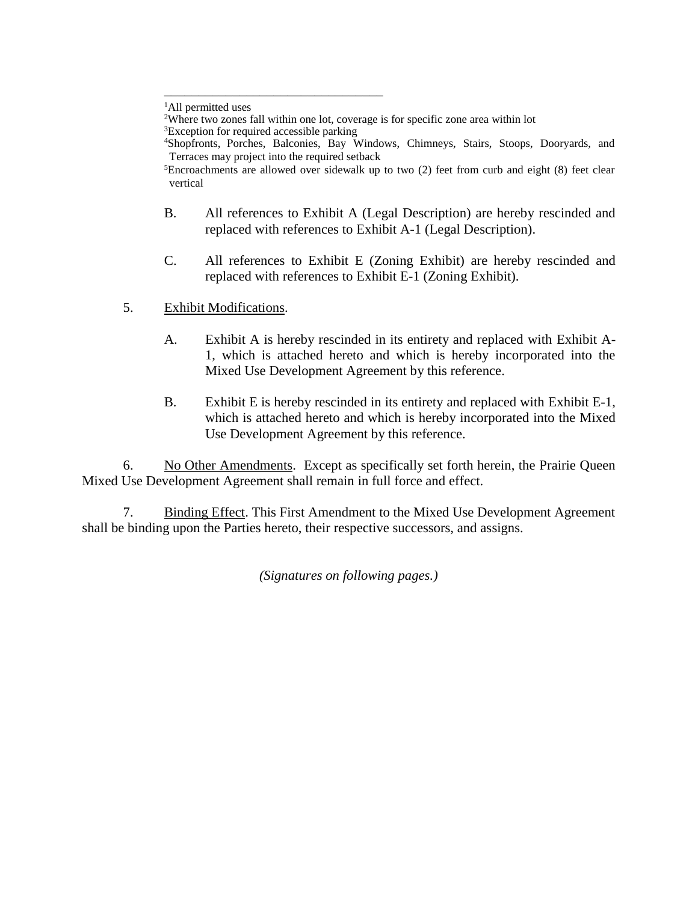\_\_\_\_\_\_\_\_\_\_\_\_\_\_\_\_\_\_\_\_\_\_\_\_\_\_\_\_\_\_\_\_

- B. All references to Exhibit A (Legal Description) are hereby rescinded and replaced with references to Exhibit A-1 (Legal Description).
- C. All references to Exhibit E (Zoning Exhibit) are hereby rescinded and replaced with references to Exhibit E-1 (Zoning Exhibit).
- 5. Exhibit Modifications.
	- A. Exhibit A is hereby rescinded in its entirety and replaced with Exhibit A-1, which is attached hereto and which is hereby incorporated into the Mixed Use Development Agreement by this reference.
	- B. Exhibit E is hereby rescinded in its entirety and replaced with Exhibit E-1, which is attached hereto and which is hereby incorporated into the Mixed Use Development Agreement by this reference.

6. No Other Amendments. Except as specifically set forth herein, the Prairie Queen Mixed Use Development Agreement shall remain in full force and effect.

7. Binding Effect. This First Amendment to the Mixed Use Development Agreement shall be binding upon the Parties hereto, their respective successors, and assigns.

*(Signatures on following pages.)*

<sup>&</sup>lt;sup>1</sup>All permitted uses

<sup>&</sup>lt;sup>2</sup>Where two zones fall within one lot, coverage is for specific zone area within lot

<sup>&</sup>lt;sup>3</sup>Exception for required accessible parking

<sup>4</sup>Shopfronts, Porches, Balconies, Bay Windows, Chimneys, Stairs, Stoops, Dooryards, and Terraces may project into the required setback

 ${}^{5}$ Encroachments are allowed over sidewalk up to two (2) feet from curb and eight (8) feet clear vertical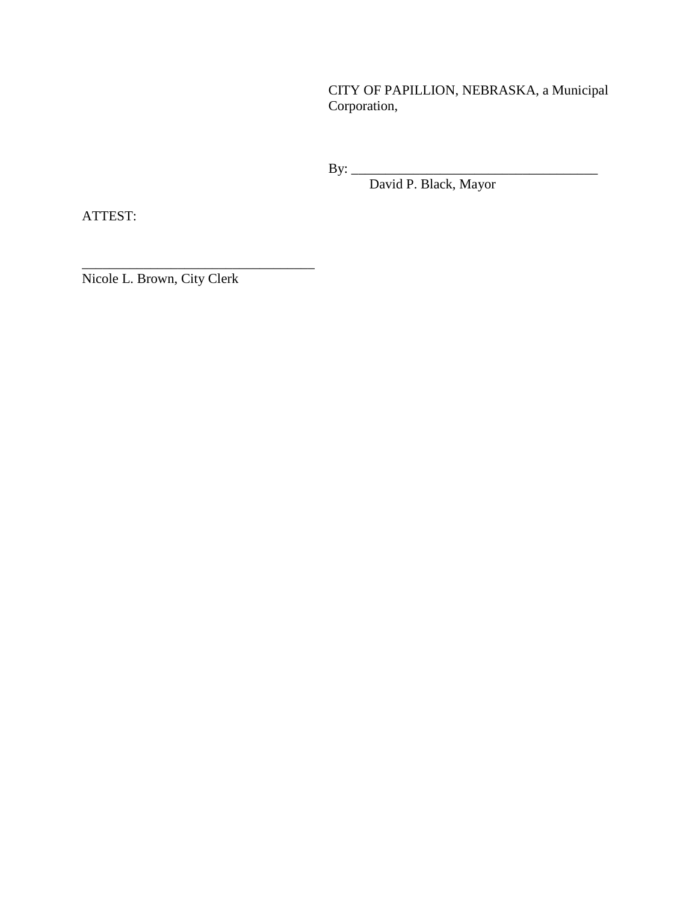CITY OF PAPILLION, NEBRASKA, a Municipal Corporation,

By: \_\_\_\_\_\_\_\_\_\_\_\_\_\_\_\_\_\_\_\_\_\_\_\_\_\_\_\_\_\_\_\_\_\_\_\_

David P. Black, Mayor

ATTEST:

Nicole L. Brown, City Clerk

\_\_\_\_\_\_\_\_\_\_\_\_\_\_\_\_\_\_\_\_\_\_\_\_\_\_\_\_\_\_\_\_\_\_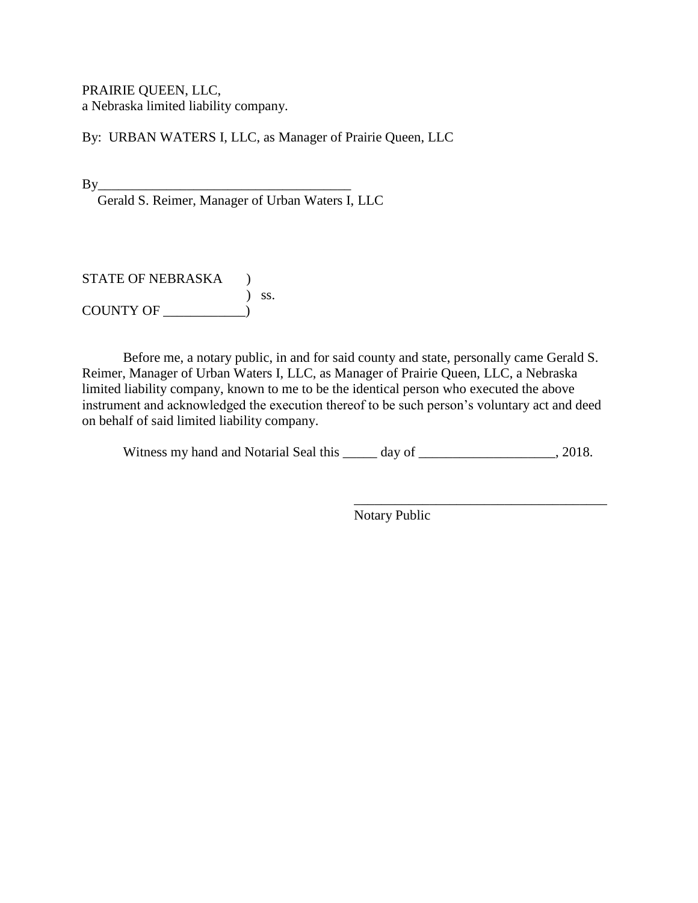PRAIRIE QUEEN, LLC, a Nebraska limited liability company.

By: URBAN WATERS I, LLC, as Manager of Prairie Queen, LLC

By\_\_\_\_\_\_\_\_\_\_\_\_\_\_\_\_\_\_\_\_\_\_\_\_\_\_\_\_\_\_\_\_\_\_\_\_\_

Gerald S. Reimer, Manager of Urban Waters I, LLC

STATE OF NEBRASKA ) ) ss. COUNTY OF \_\_\_\_\_\_\_\_\_\_\_\_)

Before me, a notary public, in and for said county and state, personally came Gerald S. Reimer, Manager of Urban Waters I, LLC, as Manager of Prairie Queen, LLC, a Nebraska limited liability company, known to me to be the identical person who executed the above instrument and acknowledged the execution thereof to be such person's voluntary act and deed on behalf of said limited liability company.

Witness my hand and Notarial Seal this \_\_\_\_\_ day of \_\_\_\_\_\_\_\_\_\_\_\_\_\_\_\_\_\_, 2018.

\_\_\_\_\_\_\_\_\_\_\_\_\_\_\_\_\_\_\_\_\_\_\_\_\_\_\_\_\_\_\_\_\_\_\_\_\_ Notary Public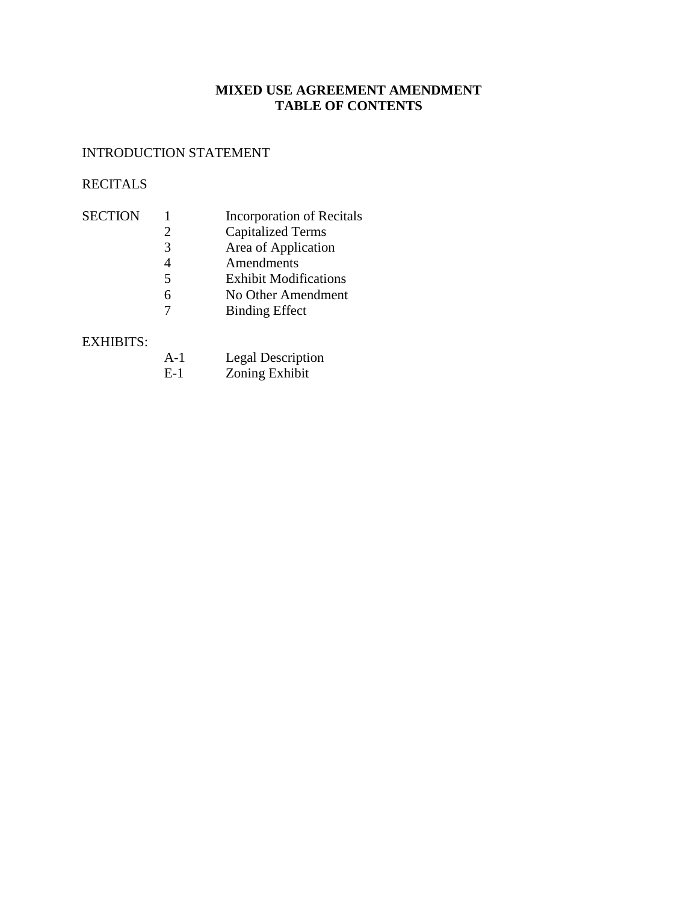## **MIXED USE AGREEMENT AMENDMENT TABLE OF CONTENTS**

# INTRODUCTION STATEMENT

# RECITALS

| <b>SECTION</b> |                          | <b>Incorporation of Recitals</b> |
|----------------|--------------------------|----------------------------------|
|                |                          | <b>Capitalized Terms</b>         |
|                | 3                        | Area of Application              |
|                |                          | Amendments                       |
|                | $\overline{\phantom{1}}$ | <b>Exhibit Modifications</b>     |
|                | 6                        | No Other Amendment               |
|                |                          | <b>Binding Effect</b>            |
|                |                          |                                  |

### EXHIBITS:

| $A-1$                    | <b>Legal Description</b> |
|--------------------------|--------------------------|
| $\overline{\phantom{a}}$ | .                        |

E-1 Zoning Exhibit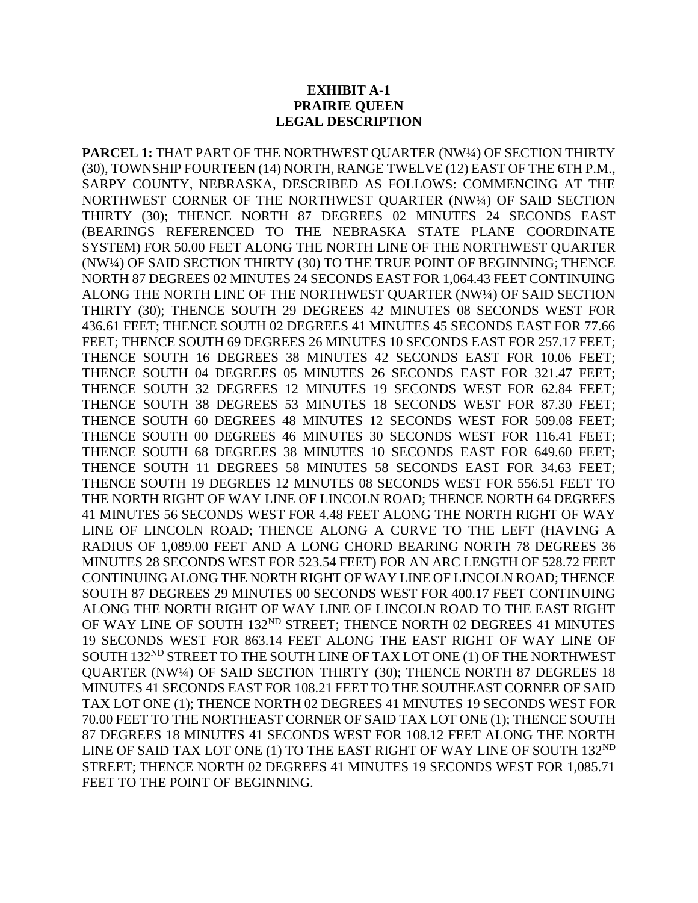#### **EXHIBIT A-1 PRAIRIE QUEEN LEGAL DESCRIPTION**

**PARCEL 1:** THAT PART OF THE NORTHWEST QUARTER (NW¼) OF SECTION THIRTY (30), TOWNSHIP FOURTEEN (14) NORTH, RANGE TWELVE (12) EAST OF THE 6TH P.M., SARPY COUNTY, NEBRASKA, DESCRIBED AS FOLLOWS: COMMENCING AT THE NORTHWEST CORNER OF THE NORTHWEST QUARTER (NW¼) OF SAID SECTION THIRTY (30); THENCE NORTH 87 DEGREES 02 MINUTES 24 SECONDS EAST (BEARINGS REFERENCED TO THE NEBRASKA STATE PLANE COORDINATE SYSTEM) FOR 50.00 FEET ALONG THE NORTH LINE OF THE NORTHWEST QUARTER (NW¼) OF SAID SECTION THIRTY (30) TO THE TRUE POINT OF BEGINNING; THENCE NORTH 87 DEGREES 02 MINUTES 24 SECONDS EAST FOR 1,064.43 FEET CONTINUING ALONG THE NORTH LINE OF THE NORTHWEST QUARTER (NW¼) OF SAID SECTION THIRTY (30); THENCE SOUTH 29 DEGREES 42 MINUTES 08 SECONDS WEST FOR 436.61 FEET; THENCE SOUTH 02 DEGREES 41 MINUTES 45 SECONDS EAST FOR 77.66 FEET; THENCE SOUTH 69 DEGREES 26 MINUTES 10 SECONDS EAST FOR 257.17 FEET; THENCE SOUTH 16 DEGREES 38 MINUTES 42 SECONDS EAST FOR 10.06 FEET; THENCE SOUTH 04 DEGREES 05 MINUTES 26 SECONDS EAST FOR 321.47 FEET; THENCE SOUTH 32 DEGREES 12 MINUTES 19 SECONDS WEST FOR 62.84 FEET; THENCE SOUTH 38 DEGREES 53 MINUTES 18 SECONDS WEST FOR 87.30 FEET; THENCE SOUTH 60 DEGREES 48 MINUTES 12 SECONDS WEST FOR 509.08 FEET; THENCE SOUTH 00 DEGREES 46 MINUTES 30 SECONDS WEST FOR 116.41 FEET; THENCE SOUTH 68 DEGREES 38 MINUTES 10 SECONDS EAST FOR 649.60 FEET; THENCE SOUTH 11 DEGREES 58 MINUTES 58 SECONDS EAST FOR 34.63 FEET; THENCE SOUTH 19 DEGREES 12 MINUTES 08 SECONDS WEST FOR 556.51 FEET TO THE NORTH RIGHT OF WAY LINE OF LINCOLN ROAD; THENCE NORTH 64 DEGREES 41 MINUTES 56 SECONDS WEST FOR 4.48 FEET ALONG THE NORTH RIGHT OF WAY LINE OF LINCOLN ROAD; THENCE ALONG A CURVE TO THE LEFT (HAVING A RADIUS OF 1,089.00 FEET AND A LONG CHORD BEARING NORTH 78 DEGREES 36 MINUTES 28 SECONDS WEST FOR 523.54 FEET) FOR AN ARC LENGTH OF 528.72 FEET CONTINUING ALONG THE NORTH RIGHT OF WAY LINE OF LINCOLN ROAD; THENCE SOUTH 87 DEGREES 29 MINUTES 00 SECONDS WEST FOR 400.17 FEET CONTINUING ALONG THE NORTH RIGHT OF WAY LINE OF LINCOLN ROAD TO THE EAST RIGHT OF WAY LINE OF SOUTH 132<sup>ND</sup> STREET; THENCE NORTH 02 DEGREES 41 MINUTES 19 SECONDS WEST FOR 863.14 FEET ALONG THE EAST RIGHT OF WAY LINE OF SOUTH 132ND STREET TO THE SOUTH LINE OF TAX LOT ONE (1) OF THE NORTHWEST QUARTER (NW¼) OF SAID SECTION THIRTY (30); THENCE NORTH 87 DEGREES 18 MINUTES 41 SECONDS EAST FOR 108.21 FEET TO THE SOUTHEAST CORNER OF SAID TAX LOT ONE (1); THENCE NORTH 02 DEGREES 41 MINUTES 19 SECONDS WEST FOR 70.00 FEET TO THE NORTHEAST CORNER OF SAID TAX LOT ONE (1); THENCE SOUTH 87 DEGREES 18 MINUTES 41 SECONDS WEST FOR 108.12 FEET ALONG THE NORTH LINE OF SAID TAX LOT ONE (1) TO THE EAST RIGHT OF WAY LINE OF SOUTH 132<sup>ND</sup> STREET; THENCE NORTH 02 DEGREES 41 MINUTES 19 SECONDS WEST FOR 1,085.71 FEET TO THE POINT OF BEGINNING.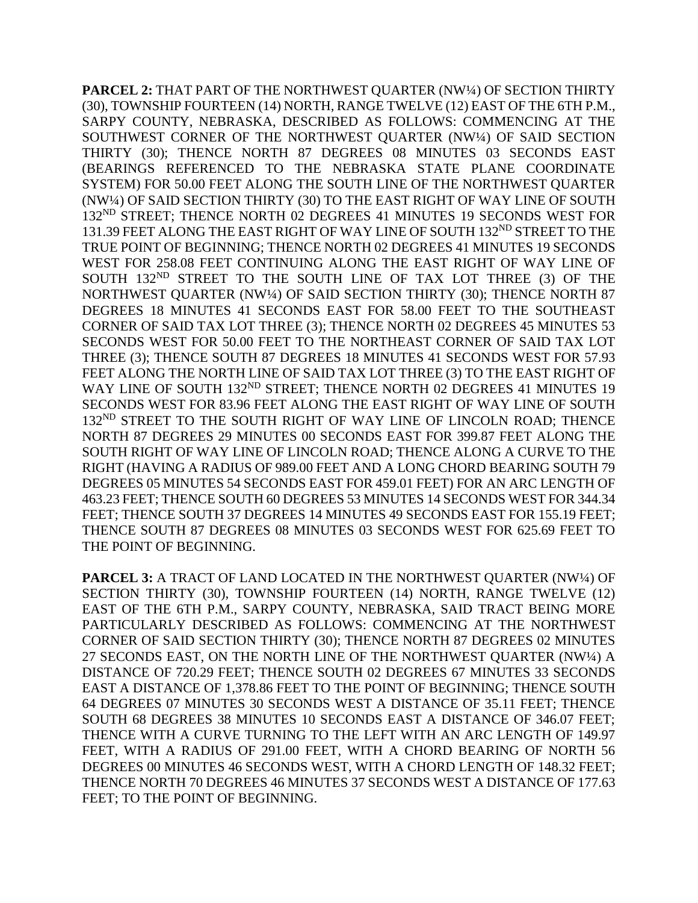**PARCEL 2:** THAT PART OF THE NORTHWEST QUARTER (NW¼) OF SECTION THIRTY (30), TOWNSHIP FOURTEEN (14) NORTH, RANGE TWELVE (12) EAST OF THE 6TH P.M., SARPY COUNTY, NEBRASKA, DESCRIBED AS FOLLOWS: COMMENCING AT THE SOUTHWEST CORNER OF THE NORTHWEST QUARTER (NW¼) OF SAID SECTION THIRTY (30); THENCE NORTH 87 DEGREES 08 MINUTES 03 SECONDS EAST (BEARINGS REFERENCED TO THE NEBRASKA STATE PLANE COORDINATE SYSTEM) FOR 50.00 FEET ALONG THE SOUTH LINE OF THE NORTHWEST QUARTER (NW¼) OF SAID SECTION THIRTY (30) TO THE EAST RIGHT OF WAY LINE OF SOUTH 132ND STREET; THENCE NORTH 02 DEGREES 41 MINUTES 19 SECONDS WEST FOR 131.39 FEET ALONG THE EAST RIGHT OF WAY LINE OF SOUTH 132<sup>ND</sup> STREET TO THE TRUE POINT OF BEGINNING; THENCE NORTH 02 DEGREES 41 MINUTES 19 SECONDS WEST FOR 258.08 FEET CONTINUING ALONG THE EAST RIGHT OF WAY LINE OF SOUTH 132<sup>ND</sup> STREET TO THE SOUTH LINE OF TAX LOT THREE (3) OF THE NORTHWEST QUARTER (NW¼) OF SAID SECTION THIRTY (30); THENCE NORTH 87 DEGREES 18 MINUTES 41 SECONDS EAST FOR 58.00 FEET TO THE SOUTHEAST CORNER OF SAID TAX LOT THREE (3); THENCE NORTH 02 DEGREES 45 MINUTES 53 SECONDS WEST FOR 50.00 FEET TO THE NORTHEAST CORNER OF SAID TAX LOT THREE (3); THENCE SOUTH 87 DEGREES 18 MINUTES 41 SECONDS WEST FOR 57.93 FEET ALONG THE NORTH LINE OF SAID TAX LOT THREE (3) TO THE EAST RIGHT OF WAY LINE OF SOUTH 132<sup>ND</sup> STREET; THENCE NORTH 02 DEGREES 41 MINUTES 19 SECONDS WEST FOR 83.96 FEET ALONG THE EAST RIGHT OF WAY LINE OF SOUTH 132<sup>ND</sup> STREET TO THE SOUTH RIGHT OF WAY LINE OF LINCOLN ROAD; THENCE NORTH 87 DEGREES 29 MINUTES 00 SECONDS EAST FOR 399.87 FEET ALONG THE SOUTH RIGHT OF WAY LINE OF LINCOLN ROAD; THENCE ALONG A CURVE TO THE RIGHT (HAVING A RADIUS OF 989.00 FEET AND A LONG CHORD BEARING SOUTH 79 DEGREES 05 MINUTES 54 SECONDS EAST FOR 459.01 FEET) FOR AN ARC LENGTH OF 463.23 FEET; THENCE SOUTH 60 DEGREES 53 MINUTES 14 SECONDS WEST FOR 344.34 FEET; THENCE SOUTH 37 DEGREES 14 MINUTES 49 SECONDS EAST FOR 155.19 FEET; THENCE SOUTH 87 DEGREES 08 MINUTES 03 SECONDS WEST FOR 625.69 FEET TO THE POINT OF BEGINNING.

PARCEL 3: A TRACT OF LAND LOCATED IN THE NORTHWEST QUARTER (NW1/4) OF SECTION THIRTY (30), TOWNSHIP FOURTEEN (14) NORTH, RANGE TWELVE (12) EAST OF THE 6TH P.M., SARPY COUNTY, NEBRASKA, SAID TRACT BEING MORE PARTICULARLY DESCRIBED AS FOLLOWS: COMMENCING AT THE NORTHWEST CORNER OF SAID SECTION THIRTY (30); THENCE NORTH 87 DEGREES 02 MINUTES 27 SECONDS EAST, ON THE NORTH LINE OF THE NORTHWEST QUARTER (NW1/4) A DISTANCE OF 720.29 FEET; THENCE SOUTH 02 DEGREES 67 MINUTES 33 SECONDS EAST A DISTANCE OF 1,378.86 FEET TO THE POINT OF BEGINNING; THENCE SOUTH 64 DEGREES 07 MINUTES 30 SECONDS WEST A DISTANCE OF 35.11 FEET; THENCE SOUTH 68 DEGREES 38 MINUTES 10 SECONDS EAST A DISTANCE OF 346.07 FEET; THENCE WITH A CURVE TURNING TO THE LEFT WITH AN ARC LENGTH OF 149.97 FEET, WITH A RADIUS OF 291.00 FEET, WITH A CHORD BEARING OF NORTH 56 DEGREES 00 MINUTES 46 SECONDS WEST, WITH A CHORD LENGTH OF 148.32 FEET; THENCE NORTH 70 DEGREES 46 MINUTES 37 SECONDS WEST A DISTANCE OF 177.63 FEET; TO THE POINT OF BEGINNING.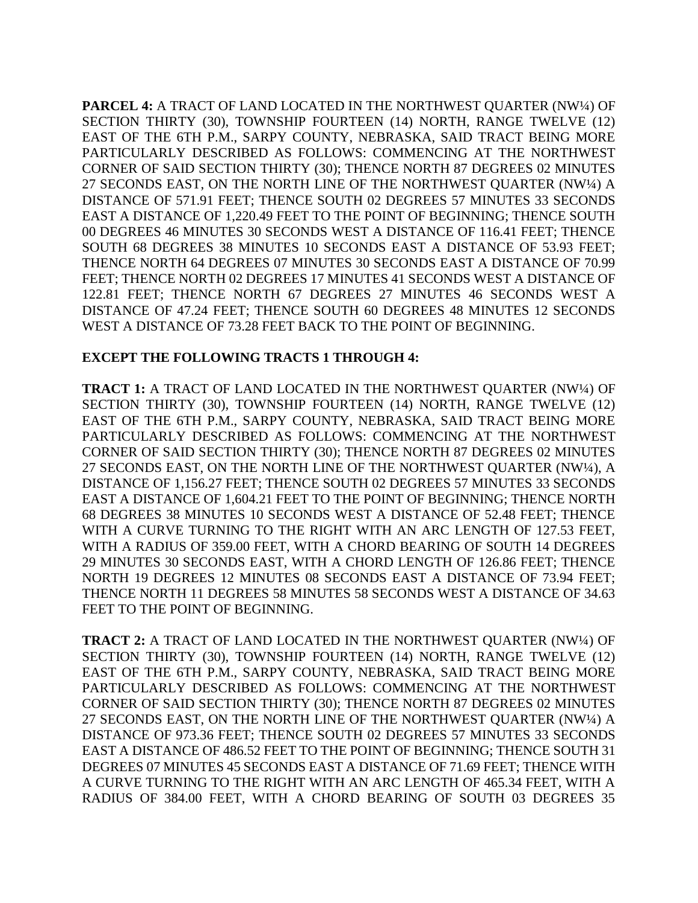**PARCEL 4:** A TRACT OF LAND LOCATED IN THE NORTHWEST QUARTER (NW½) OF SECTION THIRTY (30), TOWNSHIP FOURTEEN (14) NORTH, RANGE TWELVE (12) EAST OF THE 6TH P.M., SARPY COUNTY, NEBRASKA, SAID TRACT BEING MORE PARTICULARLY DESCRIBED AS FOLLOWS: COMMENCING AT THE NORTHWEST CORNER OF SAID SECTION THIRTY (30); THENCE NORTH 87 DEGREES 02 MINUTES 27 SECONDS EAST, ON THE NORTH LINE OF THE NORTHWEST QUARTER (NW¼) A DISTANCE OF 571.91 FEET; THENCE SOUTH 02 DEGREES 57 MINUTES 33 SECONDS EAST A DISTANCE OF 1,220.49 FEET TO THE POINT OF BEGINNING; THENCE SOUTH 00 DEGREES 46 MINUTES 30 SECONDS WEST A DISTANCE OF 116.41 FEET; THENCE SOUTH 68 DEGREES 38 MINUTES 10 SECONDS EAST A DISTANCE OF 53.93 FEET; THENCE NORTH 64 DEGREES 07 MINUTES 30 SECONDS EAST A DISTANCE OF 70.99 FEET; THENCE NORTH 02 DEGREES 17 MINUTES 41 SECONDS WEST A DISTANCE OF 122.81 FEET; THENCE NORTH 67 DEGREES 27 MINUTES 46 SECONDS WEST A DISTANCE OF 47.24 FEET; THENCE SOUTH 60 DEGREES 48 MINUTES 12 SECONDS WEST A DISTANCE OF 73.28 FEET BACK TO THE POINT OF BEGINNING.

### **EXCEPT THE FOLLOWING TRACTS 1 THROUGH 4:**

**TRACT 1:** A TRACT OF LAND LOCATED IN THE NORTHWEST QUARTER (NW¼) OF SECTION THIRTY (30), TOWNSHIP FOURTEEN (14) NORTH, RANGE TWELVE (12) EAST OF THE 6TH P.M., SARPY COUNTY, NEBRASKA, SAID TRACT BEING MORE PARTICULARLY DESCRIBED AS FOLLOWS: COMMENCING AT THE NORTHWEST CORNER OF SAID SECTION THIRTY (30); THENCE NORTH 87 DEGREES 02 MINUTES 27 SECONDS EAST, ON THE NORTH LINE OF THE NORTHWEST QUARTER (NW¼), A DISTANCE OF 1,156.27 FEET; THENCE SOUTH 02 DEGREES 57 MINUTES 33 SECONDS EAST A DISTANCE OF 1,604.21 FEET TO THE POINT OF BEGINNING; THENCE NORTH 68 DEGREES 38 MINUTES 10 SECONDS WEST A DISTANCE OF 52.48 FEET; THENCE WITH A CURVE TURNING TO THE RIGHT WITH AN ARC LENGTH OF 127.53 FEET, WITH A RADIUS OF 359.00 FEET, WITH A CHORD BEARING OF SOUTH 14 DEGREES 29 MINUTES 30 SECONDS EAST, WITH A CHORD LENGTH OF 126.86 FEET; THENCE NORTH 19 DEGREES 12 MINUTES 08 SECONDS EAST A DISTANCE OF 73.94 FEET; THENCE NORTH 11 DEGREES 58 MINUTES 58 SECONDS WEST A DISTANCE OF 34.63 FEET TO THE POINT OF BEGINNING.

**TRACT 2:** A TRACT OF LAND LOCATED IN THE NORTHWEST QUARTER (NW¼) OF SECTION THIRTY (30), TOWNSHIP FOURTEEN (14) NORTH, RANGE TWELVE (12) EAST OF THE 6TH P.M., SARPY COUNTY, NEBRASKA, SAID TRACT BEING MORE PARTICULARLY DESCRIBED AS FOLLOWS: COMMENCING AT THE NORTHWEST CORNER OF SAID SECTION THIRTY (30); THENCE NORTH 87 DEGREES 02 MINUTES 27 SECONDS EAST, ON THE NORTH LINE OF THE NORTHWEST QUARTER (NW¼) A DISTANCE OF 973.36 FEET; THENCE SOUTH 02 DEGREES 57 MINUTES 33 SECONDS EAST A DISTANCE OF 486.52 FEET TO THE POINT OF BEGINNING; THENCE SOUTH 31 DEGREES 07 MINUTES 45 SECONDS EAST A DISTANCE OF 71.69 FEET; THENCE WITH A CURVE TURNING TO THE RIGHT WITH AN ARC LENGTH OF 465.34 FEET, WITH A RADIUS OF 384.00 FEET, WITH A CHORD BEARING OF SOUTH 03 DEGREES 35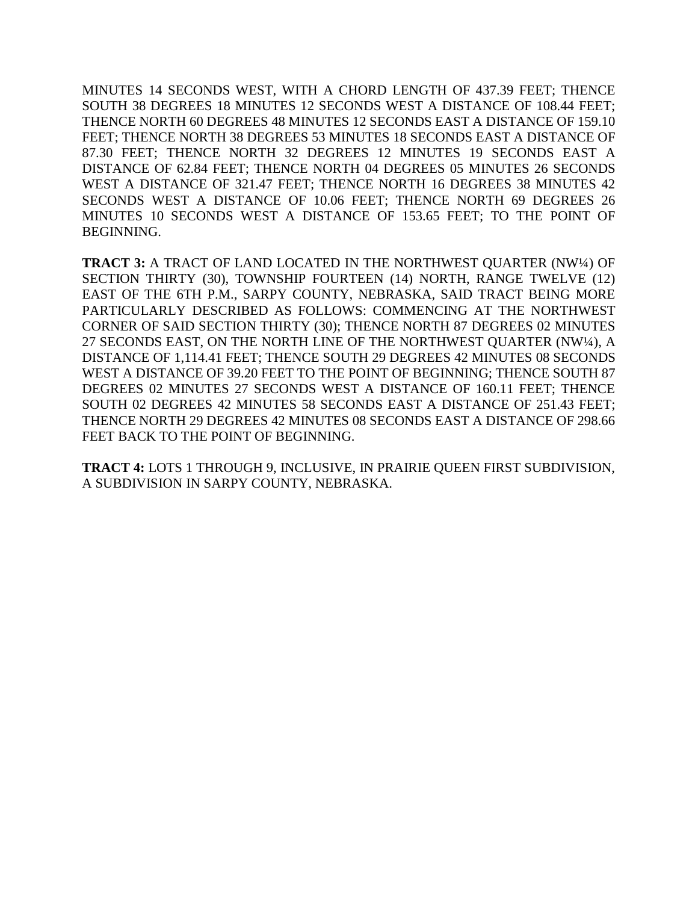MINUTES 14 SECONDS WEST, WITH A CHORD LENGTH OF 437.39 FEET; THENCE SOUTH 38 DEGREES 18 MINUTES 12 SECONDS WEST A DISTANCE OF 108.44 FEET; THENCE NORTH 60 DEGREES 48 MINUTES 12 SECONDS EAST A DISTANCE OF 159.10 FEET; THENCE NORTH 38 DEGREES 53 MINUTES 18 SECONDS EAST A DISTANCE OF 87.30 FEET; THENCE NORTH 32 DEGREES 12 MINUTES 19 SECONDS EAST A DISTANCE OF 62.84 FEET; THENCE NORTH 04 DEGREES 05 MINUTES 26 SECONDS WEST A DISTANCE OF 321.47 FEET; THENCE NORTH 16 DEGREES 38 MINUTES 42 SECONDS WEST A DISTANCE OF 10.06 FEET; THENCE NORTH 69 DEGREES 26 MINUTES 10 SECONDS WEST A DISTANCE OF 153.65 FEET; TO THE POINT OF BEGINNING.

**TRACT 3:** A TRACT OF LAND LOCATED IN THE NORTHWEST QUARTER (NW¼) OF SECTION THIRTY (30), TOWNSHIP FOURTEEN (14) NORTH, RANGE TWELVE (12) EAST OF THE 6TH P.M., SARPY COUNTY, NEBRASKA, SAID TRACT BEING MORE PARTICULARLY DESCRIBED AS FOLLOWS: COMMENCING AT THE NORTHWEST CORNER OF SAID SECTION THIRTY (30); THENCE NORTH 87 DEGREES 02 MINUTES 27 SECONDS EAST, ON THE NORTH LINE OF THE NORTHWEST QUARTER (NW¼), A DISTANCE OF 1,114.41 FEET; THENCE SOUTH 29 DEGREES 42 MINUTES 08 SECONDS WEST A DISTANCE OF 39.20 FEET TO THE POINT OF BEGINNING; THENCE SOUTH 87 DEGREES 02 MINUTES 27 SECONDS WEST A DISTANCE OF 160.11 FEET; THENCE SOUTH 02 DEGREES 42 MINUTES 58 SECONDS EAST A DISTANCE OF 251.43 FEET; THENCE NORTH 29 DEGREES 42 MINUTES 08 SECONDS EAST A DISTANCE OF 298.66 FEET BACK TO THE POINT OF BEGINNING.

**TRACT 4:** LOTS 1 THROUGH 9, INCLUSIVE, IN PRAIRIE QUEEN FIRST SUBDIVISION, A SUBDIVISION IN SARPY COUNTY, NEBRASKA.